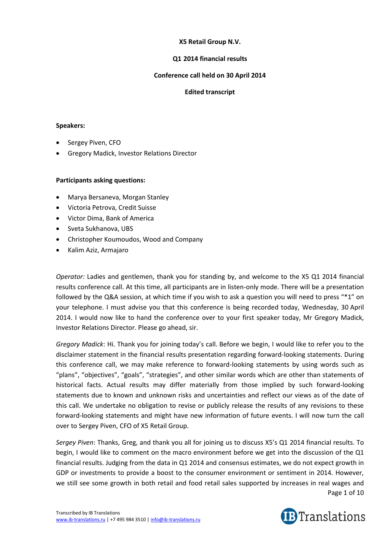# **X5 Retail Group N.V.**

## **Q1 2014 financial results**

## **Conference call held on 30 April 2014**

### **Edited transcript**

#### **Speakers:**

- Sergey Piven, CFO
- Gregory Madick, Investor Relations Director

### **Participants asking questions:**

- Marya Bersaneva, Morgan Stanley
- Victoria Petrova, Credit Suisse
- Victor Dima, Bank of America
- Sveta Sukhanova, UBS
- Christopher Koumoudos, Wood and Company
- Kalim Aziz, Armajaro

*Operator:* Ladies and gentlemen, thank you for standing by, and welcome to the X5 Q1 2014 financial results conference call. At this time, all participants are in listen-only mode. There will be a presentation followed by the Q&A session, at which time if you wish to ask a question you will need to press "\*1" on your telephone. I must advise you that this conference is being recorded today, Wednesday, 30 April 2014. I would now like to hand the conference over to your first speaker today, Mr Gregory Madick, Investor Relations Director. Please go ahead, sir.

*Gregory Madick*: Hi. Thank you for joining today's call. Before we begin, I would like to refer you to the disclaimer statement in the financial results presentation regarding forward-looking statements. During this conference call, we may make reference to forward-looking statements by using words such as "plans", "objectives", "goals", "strategies", and other similar words which are other than statements of historical facts. Actual results may differ materially from those implied by such forward-looking statements due to known and unknown risks and uncertainties and reflect our views as of the date of this call. We undertake no obligation to revise or publicly release the results of any revisions to these forward-looking statements and might have new information of future events. I will now turn the call over to Sergey Piven, CFO of X5 Retail Group.

Page 1 of 10 *Sergey Piven*: Thanks, Greg, and thank you all for joining us to discuss X5's Q1 2014 financial results. To begin, I would like to comment on the macro environment before we get into the discussion of the Q1 financial results. Judging from the data in Q1 2014 and consensus estimates, we do not expect growth in GDP or investments to provide a boost to the consumer environment or sentiment in 2014. However, we still see some growth in both retail and food retail sales supported by increases in real wages and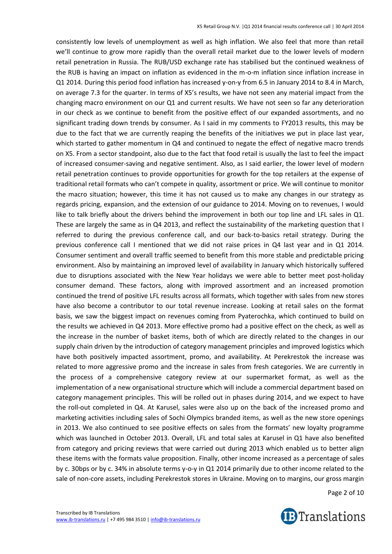consistently low levels of unemployment as well as high inflation. We also feel that more than retail we'll continue to grow more rapidly than the overall retail market due to the lower levels of modern retail penetration in Russia. The RUB/USD exchange rate has stabilised but the continued weakness of the RUB is having an impact on inflation as evidenced in the m-o-m inflation since inflation increase in Q1 2014. During this period food inflation has increased y-on-y from 6.5 in January 2014 to 8.4 in March, on average 7.3 for the quarter. In terms of X5's results, we have not seen any material impact from the changing macro environment on our Q1 and current results. We have not seen so far any deterioration in our check as we continue to benefit from the positive effect of our expanded assortments, and no significant trading down trends by consumer. As I said in my comments to FY2013 results, this may be due to the fact that we are currently reaping the benefits of the initiatives we put in place last year, which started to gather momentum in Q4 and continued to negate the effect of negative macro trends on X5. From a sector standpoint, also due to the fact that food retail is usually the last to feel the impact of increased consumer-saving and negative sentiment. Also, as I said earlier, the lower level of modern retail penetration continues to provide opportunities for growth for the top retailers at the expense of traditional retail formats who can't compete in quality, assortment or price. We will continue to monitor the macro situation; however, this time it has not caused us to make any changes in our strategy as regards pricing, expansion, and the extension of our guidance to 2014. Moving on to revenues, I would like to talk briefly about the drivers behind the improvement in both our top line and LFL sales in Q1. These are largely the same as in Q4 2013, and reflect the sustainability of the marketing question that I referred to during the previous conference call, and our back-to-basics retail strategy. During the previous conference call I mentioned that we did not raise prices in Q4 last year and in Q1 2014. Consumer sentiment and overall traffic seemed to benefit from this more stable and predictable pricing environment. Also by maintaining an improved level of availability in January which historically suffered due to disruptions associated with the New Year holidays we were able to better meet post-holiday consumer demand. These factors, along with improved assortment and an increased promotion continued the trend of positive LFL results across all formats, which together with sales from new stores have also become a contributor to our total revenue increase. Looking at retail sales on the format basis, we saw the biggest impact on revenues coming from Pyaterochka, which continued to build on the results we achieved in Q4 2013. More effective promo had a positive effect on the check, as well as the increase in the number of basket items, both of which are directly related to the changes in our supply chain driven by the introduction of category management principles and improved logistics which have both positively impacted assortment, promo, and availability. At Perekrestok the increase was related to more aggressive promo and the increase in sales from fresh categories. We are currently in the process of a comprehensive category review at our supermarket format, as well as the implementation of a new organisational structure which will include a commercial department based on category management principles. This will be rolled out in phases during 2014, and we expect to have the roll-out completed in Q4. At Karusel, sales were also up on the back of the increased promo and marketing activities including sales of Sochi Olympics branded items, as well as the new store openings in 2013. We also continued to see positive effects on sales from the formats' new loyalty programme which was launched in October 2013. Overall, LFL and total sales at Karusel in Q1 have also benefited from category and pricing reviews that were carried out during 2013 which enabled us to better align these items with the formats value proposition. Finally, other income increased as a percentage of sales by c. 30bps or by c. 34% in absolute terms y-o-y in Q1 2014 primarily due to other income related to the sale of non-core assets, including Perekrestok stores in Ukraine. Moving on to margins, our gross margin

Page 2 of 10

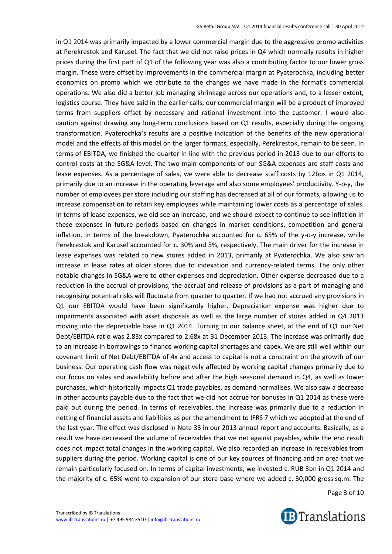in Q1 2014 was primarily impacted by a lower commercial margin due to the aggressive promo activities at Perekrestok and Karusel. The fact that we did not raise prices in Q4 which normally results in higher prices during the first part of Q1 of the following year was also a contributing factor to our lower gross margin. These were offset by improvements in the commercial margin at Pyaterochka, including better economics on promo which we attribute to the changes we have made in the format's commercial operations. We also did a better job managing shrinkage across our operations and, to a lesser extent, logistics course. They have said in the earlier calls, our commercial margin will be a product of improved terms from suppliers offset by necessary and rational investment into the customer. I would also caution against drawing any long-term conclusions based on Q1 results, especially during the ongoing transformation. Pyaterochka's results are a positive indication of the benefits of the new operational model and the effects of this model on the larger formats, especially, Perekrestok, remain to be seen. In terms of EBITDA, we finished the quarter in line with the previous period in 2013 due to our efforts to control costs at the SG&A level. The two main components of our SG&A expenses are staff costs and lease expenses. As a percentage of sales, we were able to decrease staff costs by 12bps in Q1 2014, primarily due to an increase in the operating leverage and also some employees' productivity. Y-o-y, the number of employees per store including our staffing has decreased at all of our formats, allowing us to increase compensation to retain key employees while maintaining lower costs as a percentage of sales. In terms of lease expenses, we did see an increase, and we should expect to continue to see inflation in these expenses in future periods based on changes in market conditions, competition and general inflation. In terms of the breakdown, Pyaterochka accounted for c. 65% of the y-o-y increase, while Perekrestok and Karusel accounted for c. 30% and 5%, respectively. The main driver for the increase in lease expenses was related to new stores added in 2013, primarily at Pyaterochka. We also saw an increase in lease rates at older stores due to indexation and currency-related terms. The only other notable changes in SG&A were to other expenses and depreciation. Other expense decreased due to a reduction in the accrual of provisions, the accrual and release of provisions as a part of managing and recognising potential risks will fluctuate from quarter to quarter. If we had not accrued any provisions in Q1 our EBITDA would have been significantly higher. Depreciation expense was higher due to impairments associated with asset disposals as well as the large number of stores added in Q4 2013 moving into the depreciable base in Q1 2014. Turning to our balance sheet, at the end of Q1 our Net Debt/EBITDA ratio was 2.83x compared to 2.68x at 31 December 2013. The increase was primarily due to an increase in borrowings to finance working capital shortages and capex. We are still well within our covenant limit of Net Debt/EBITDA of 4x and access to capital is not a constraint on the growth of our business. Our operating cash flow was negatively affected by working capital changes primarily due to our focus on sales and availability before and after the high seasonal demand in Q4, as well as lower purchases, which historically impacts Q1 trade payables, as demand normalises. We also saw a decrease in other accounts payable due to the fact that we did not accrue for bonuses in Q1 2014 as these were paid out during the period. In terms of receivables, the increase was primarily due to a reduction in netting of financial assets and liabilities as per the amendment to IFRS 7 which we adopted at the end of the last year. The effect was disclosed in Note 33 in our 2013 annual report and accounts. Basically, as a result we have decreased the volume of receivables that we net against payables, while the end result does not impact total changes in the working capital. We also recorded an increase in receivables from suppliers during the period. Working capital is one of our key sources of financing and an area that we remain particularly focused on. In terms of capital investments, we invested c. RUB 3bn in Q1 2014 and the majority of c. 65% went to expansion of our store base where we added c. 30,000 gross sq.m. The

Page 3 of 10

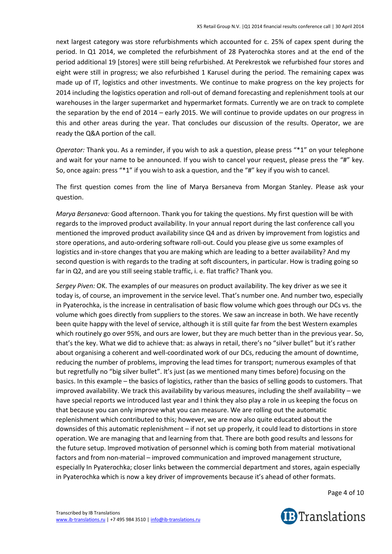next largest category was store refurbishments which accounted for c. 25% of capex spent during the period. In Q1 2014, we completed the refurbishment of 28 Pyaterochka stores and at the end of the period additional 19 [stores] were still being refurbished. At Perekrestok we refurbished four stores and eight were still in progress; we also refurbished 1 Karusel during the period. The remaining capex was made up of IT, logistics and other investments. We continue to make progress on the key projects for 2014 including the logistics operation and roll-out of demand forecasting and replenishment tools at our warehouses in the larger supermarket and hypermarket formats. Currently we are on track to complete the separation by the end of 2014 – early 2015. We will continue to provide updates on our progress in this and other areas during the year. That concludes our discussion of the results. Operator, we are ready the Q&A portion of the call.

*Operator:* Thank you. As a reminder, if you wish to ask a question, please press "\*1" on your telephone and wait for your name to be announced. If you wish to cancel your request, please press the "#" key. So, once again: press "\*1" if you wish to ask a question, and the "#" key if you wish to cancel.

The first question comes from the line of Marya Bersaneva from Morgan Stanley. Please ask your question.

*Marya Bersaneva:* Good afternoon. Thank you for taking the questions. My first question will be with regards to the improved product availability. In your annual report during the last conference call you mentioned the improved product availability since Q4 and as driven by improvement from logistics and store operations, and auto-ordering software roll-out. Could you please give us some examples of logistics and in-store changes that you are making which are leading to a better availability? And my second question is with regards to the trading at soft discounters, in particular. How is trading going so far in Q2, and are you still seeing stable traffic, i. e. flat traffic? Thank you.

*Sergey Piven:* OK. The examples of our measures on product availability. The key driver as we see it today is, of course, an improvement in the service level. That's number one. And number two, especially in Pyaterochka, is the increase in centralisation of basic flow volume which goes through our DCs vs. the volume which goes directly from suppliers to the stores. We saw an increase in both. We have recently been quite happy with the level of service, although it is still quite far from the best Western examples which routinely go over 95%, and ours are lower, but they are much better than in the previous year. So, that's the key. What we did to achieve that: as always in retail, there's no "silver bullet" but it's rather about organising a coherent and well-coordinated work of our DCs, reducing the amount of downtime, reducing the number of problems, improving the lead times for transport; numerous examples of that but regretfully no "big silver bullet". It's just (as we mentioned many times before) focusing on the basics. In this example – the basics of logistics, rather than the basics of selling goods to customers. That improved availability. We track this availability by various measures, including the shelf availability – we have special reports we introduced last year and I think they also play a role in us keeping the focus on that because you can only improve what you can measure. We are rolling out the automatic replenishment which contributed to this; however, we are now also quite educated about the downsides of this automatic replenishment – if not set up properly, it could lead to distortions in store operation. We are managing that and learning from that. There are both good results and lessons for the future setup. Improved motivation of personnel which is coming both from material motivational factors and from non-material – improved communication and improved management structure, especially In Pyaterochka; closer links between the commercial department and stores, again especially in Pyaterochka which is now a key driver of improvements because it's ahead of other formats.

Page 4 of 10

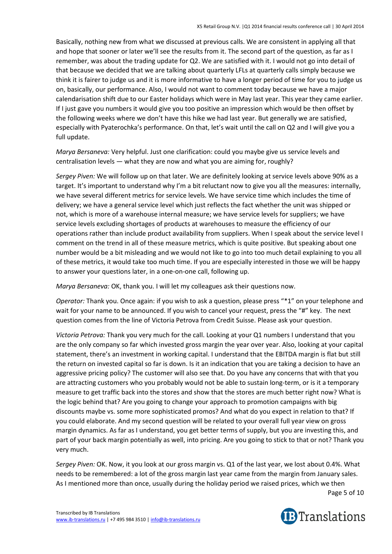Basically, nothing new from what we discussed at previous calls. We are consistent in applying all that and hope that sooner or later we'll see the results from it. The second part of the question, as far as I remember, was about the trading update for Q2. We are satisfied with it. I would not go into detail of that because we decided that we are talking about quarterly LFLs at quarterly calls simply because we think it is fairer to judge us and it is more informative to have a longer period of time for you to judge us on, basically, our performance. Also, I would not want to comment today because we have a major calendarisation shift due to our Easter holidays which were in May last year. This year they came earlier. If I just gave you numbers it would give you too positive an impression which would be then offset by the following weeks where we don't have this hike we had last year. But generally we are satisfied, especially with Pyaterochka's performance. On that, let's wait until the call on Q2 and I will give you a full update.

*Marya Bersaneva:* Very helpful. Just one clarification: could you maybe give us service levels and centralisation levels — what they are now and what you are aiming for, roughly?

*Sergey Piven:* We will follow up on that later. We are definitely looking at service levels above 90% as a target. It's important to understand why I'm a bit reluctant now to give you all the measures: internally, we have several different metrics for service levels. We have service time which includes the time of delivery; we have a general service level which just reflects the fact whether the unit was shipped or not, which is more of a warehouse internal measure; we have service levels for suppliers; we have service levels excluding shortages of products at warehouses to measure the efficiency of our operations rather than include product availability from suppliers. When I speak about the service level I comment on the trend in all of these measure metrics, which is quite positive. But speaking about one number would be a bit misleading and we would not like to go into too much detail explaining to you all of these metrics, it would take too much time. If you are especially interested in those we will be happy to answer your questions later, in a one-on-one call, following up.

*Marya Bersaneva:* OK, thank you. I will let my colleagues ask their questions now.

*Operator:* Thank you. Once again: if you wish to ask a question, please press "\*1" on your telephone and wait for your name to be announced. If you wish to cancel your request, press the "#" key. The next question comes from the line of Victoria Petrova from Credit Suisse. Please ask your question.

*Victoria Petrova:* Thank you very much for the call. Looking at your Q1 numbers I understand that you are the only company so far which invested gross margin the year over year. Also, looking at your capital statement, there's an investment in working capital. I understand that the EBITDA margin is flat but still the return on invested capital so far is down. Is it an indication that you are taking a decision to have an aggressive pricing policy? The customer will also see that. Do you have any concerns that with that you are attracting customers who you probably would not be able to sustain long-term, or is it a temporary measure to get traffic back into the stores and show that the stores are much better right now? What is the logic behind that? Are you going to change your approach to promotion campaigns with big discounts maybe vs. some more sophisticated promos? And what do you expect in relation to that? If you could elaborate. And my second question will be related to your overall full year view on gross margin dynamics. As far as I understand, you get better terms of supply, but you are investing this, and part of your back margin potentially as well, into pricing. Are you going to stick to that or not? Thank you very much.

*Sergey Piven:* OK. Now, it you look at our gross margin vs. Q1 of the last year, we lost about 0.4%. What needs to be remembered: a lot of the gross margin last year came from the margin from January sales. As I mentioned more than once, usually during the holiday period we raised prices, which we then

Page 5 of 10

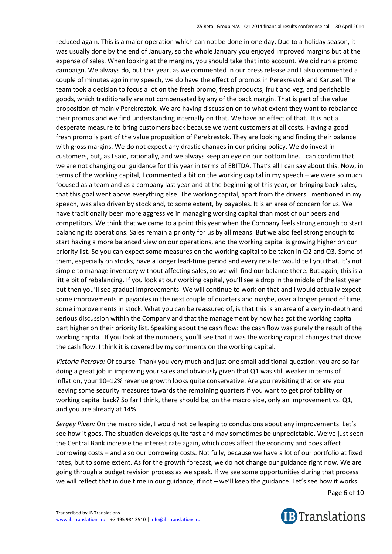reduced again. This is a major operation which can not be done in one day. Due to a holiday season, it was usually done by the end of January, so the whole January you enjoyed improved margins but at the expense of sales. When looking at the margins, you should take that into account. We did run a promo campaign. We always do, but this year, as we commented in our press release and I also commented a couple of minutes ago in my speech, we do have the effect of promos in Perekrestok and Karusel. The team took a decision to focus a lot on the fresh promo, fresh products, fruit and veg, and perishable goods, which traditionally are not compensated by any of the back margin. That is part of the value proposition of mainly Perekrestok. We are having discussion on to what extent they want to rebalance their promos and we find understanding internally on that. We have an effect of that. It is not a desperate measure to bring customers back because we want customers at all costs. Having a good fresh promo is part of the value proposition of Perekrestok. They are looking and finding their balance with gross margins. We do not expect any drastic changes in our pricing policy. We do invest in customers, but, as I said, rationally, and we always keep an eye on our bottom line. I can confirm that we are not changing our guidance for this year in terms of EBITDA. That's all I can say about this. Now, in terms of the working capital, I commented a bit on the working capital in my speech – we were so much focused as a team and as a company last year and at the beginning of this year, on bringing back sales, that this goal went above everything else. The working capital, apart from the drivers I mentioned in my speech, was also driven by stock and, to some extent, by payables. It is an area of concern for us. We have traditionally been more aggressive in managing working capital than most of our peers and competitors. We think that we came to a point this year when the Company feels strong enough to start balancing its operations. Sales remain a priority for us by all means. But we also feel strong enough to start having a more balanced view on our operations, and the working capital is growing higher on our priority list. So you can expect some measures on the working capital to be taken in Q2 and Q3. Some of them, especially on stocks, have a longer lead-time period and every retailer would tell you that. It's not simple to manage inventory without affecting sales, so we will find our balance there. But again, this is a little bit of rebalancing. If you look at our working capital, you'll see a drop in the middle of the last year but then you'll see gradual improvements. We will continue to work on that and I would actually expect some improvements in payables in the next couple of quarters and maybe, over a longer period of time, some improvements in stock. What you can be reassured of, is that this is an area of a very in-depth and serious discussion within the Company and that the management by now has got the working capital part higher on their priority list. Speaking about the cash flow: the cash flow was purely the result of the working capital. If you look at the numbers, you'll see that it was the working capital changes that drove the cash flow. I think it is covered by my comments on the working capital.

*Victoria Petrova:* Of course. Thank you very much and just one small additional question: you are so far doing a great job in improving your sales and obviously given that Q1 was still weaker in terms of inflation, your 10–12% revenue growth looks quite conservative. Are you revisiting that or are you leaving some security measures towards the remaining quarters if you want to get profitability or working capital back? So far I think, there should be, on the macro side, only an improvement vs. Q1, and you are already at 14%.

*Sergey Piven:* On the macro side, I would not be leaping to conclusions about any improvements. Let's see how it goes. The situation develops quite fast and may sometimes be unpredictable. We've just seen the Central Bank increase the interest rate again, which does affect the economy and does affect borrowing costs – and also our borrowing costs. Not fully, because we have a lot of our portfolio at fixed rates, but to some extent. As for the growth forecast, we do not change our guidance right now. We are going through a budget revision process as we speak. If we see some opportunities during that process we will reflect that in due time in our guidance, if not – we'll keep the guidance. Let's see how it works.

Page 6 of 10



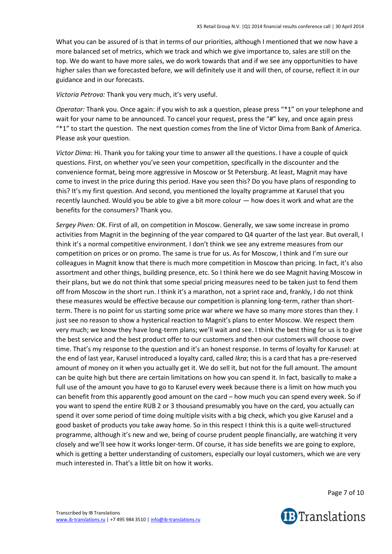What you can be assured of is that in terms of our priorities, although I mentioned that we now have a more balanced set of metrics, which we track and which we give importance to, sales are still on the top. We do want to have more sales, we do work towards that and if we see any opportunities to have higher sales than we forecasted before, we will definitely use it and will then, of course, reflect it in our guidance and in our forecasts.

*Victoria Petrova:* Thank you very much, it's very useful.

*Operator:* Thank you. Once again: if you wish to ask a question, please press "\*1" on your telephone and wait for your name to be announced. To cancel your request, press the "#" key, and once again press "\*1" to start the question. The next question comes from the line of Victor Dima from Bank of America. Please ask your question.

*Victor Dima:* Hi. Thank you for taking your time to answer all the questions. I have a couple of quick questions. First, on whether you've seen your competition, specifically in the discounter and the convenience format, being more aggressive in Moscow or St Petersburg. At least, Magnit may have come to invest in the price during this period. Have you seen this? Do you have plans of responding to this? It's my first question. And second, you mentioned the loyalty programme at Karusel that you recently launched. Would you be able to give a bit more colour — how does it work and what are the benefits for the consumers? Thank you.

*Sergey Piven:* OK. First of all, on competition in Moscow. Generally, we saw some increase in promo activities from Magnit in the beginning of the year compared to Q4 quarter of the last year. But overall, I think it's a normal competitive environment. I don't think we see any extreme measures from our competition on prices or on promo. The same is true for us. As for Moscow, I think and I'm sure our colleagues in Magnit know that there is much more competition in Moscow than pricing. In fact, it's also assortment and other things, building presence, etc. So I think here we do see Magnit having Moscow in their plans, but we do not think that some special pricing measures need to be taken just to fend them off from Moscow in the short run. I think it's a marathon, not a sprint race and, frankly, I do not think these measures would be effective because our competition is planning long-term, rather than shortterm. There is no point for us starting some price war where we have so many more stores than they. I just see no reason to show a hysterical reaction to Magnit's plans to enter Moscow. We respect them very much; we know they have long-term plans; we'll wait and see. I think the best thing for us is to give the best service and the best product offer to our customers and then our customers will choose over time. That's my response to the question and it's an honest response. In terms of loyalty for Karusel: at the end of last year, Karusel introduced a loyalty card, called *Ikra*; this is a card that has a pre-reserved amount of money on it when you actually get it. We do sell it, but not for the full amount. The amount can be quite high but there are certain limitations on how you can spend it. In fact, basically to make a full use of the amount you have to go to Karusel every week because there is a limit on how much you can benefit from this apparently good amount on the card – how much you can spend every week. So if you want to spend the entire RUB 2 or 3 thousand presumably you have on the card, you actually can spend it over some period of time doing multiple visits with a big check, which you give Karusel and a good basket of products you take away home. So in this respect I think this is a quite well-structured programme, although it's new and we, being of course prudent people financially, are watching it very closely and we'll see how it works longer-term. Of course, it has side benefits we are going to explore, which is getting a better understanding of customers, especially our loyal customers, which we are very much interested in. That's a little bit on how it works.

Page 7 of 10

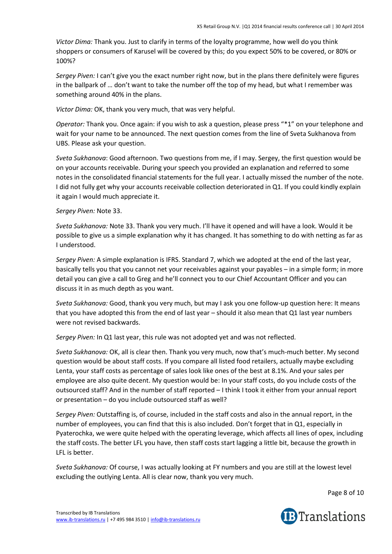*Victor Dima:* Thank you. Just to clarify in terms of the loyalty programme, how well do you think shoppers or consumers of Karusel will be covered by this; do you expect 50% to be covered, or 80% or 100%?

*Sergey Piven:* I can't give you the exact number right now, but in the plans there definitely were figures in the ballpark of … don't want to take the number off the top of my head, but what I remember was something around 40% in the plans.

*Victor Dima:* OK, thank you very much, that was very helpful.

*Operator:* Thank you. Once again: if you wish to ask a question, please press "\*1" on your telephone and wait for your name to be announced. The next question comes from the line of Sveta Sukhanova from UBS. Please ask your question.

*Sveta Sukhanova*: Good afternoon. Two questions from me, if I may. Sergey, the first question would be on your accounts receivable. During your speech you provided an explanation and referred to some notes in the consolidated financial statements for the full year. I actually missed the number of the note. I did not fully get why your accounts receivable collection deteriorated in Q1. If you could kindly explain it again I would much appreciate it.

### *Sergey Piven:* Note 33.

*Sveta Sukhanova:* Note 33. Thank you very much. I'll have it opened and will have a look. Would it be possible to give us a simple explanation why it has changed. It has something to do with netting as far as I understood.

*Sergey Piven:* A simple explanation is IFRS. Standard 7, which we adopted at the end of the last year, basically tells you that you cannot net your receivables against your payables – in a simple form; in more detail you can give a call to Greg and he'll connect you to our Chief Accountant Officer and you can discuss it in as much depth as you want.

*Sveta Sukhanova:* Good, thank you very much, but may I ask you one follow-up question here: It means that you have adopted this from the end of last year – should it also mean that Q1 last year numbers were not revised backwards.

*Sergey Piven:* In Q1 last year, this rule was not adopted yet and was not reflected.

*Sveta Sukhanova:* OK, all is clear then. Thank you very much, now that's much-much better. My second question would be about staff costs. If you compare all listed food retailers, actually maybe excluding Lenta, your staff costs as percentage of sales look like ones of the best at 8.1%. And your sales per employee are also quite decent. My question would be: In your staff costs, do you include costs of the outsourced staff? And in the number of staff reported – I think I took it either from your annual report or presentation – do you include outsourced staff as well?

*Sergey Piven:* Outstaffing is, of course, included in the staff costs and also in the annual report, in the number of employees, you can find that this is also included. Don't forget that in Q1, especially in Pyaterochka, we were quite helped with the operating leverage, which affects all lines of opex, including the staff costs. The better LFL you have, then staff costs start lagging a little bit, because the growth in LFL is better.

*Sveta Sukhanova:* Of course, I was actually looking at FY numbers and you are still at the lowest level excluding the outlying Lenta. All is clear now, thank you very much.

Page 8 of 10

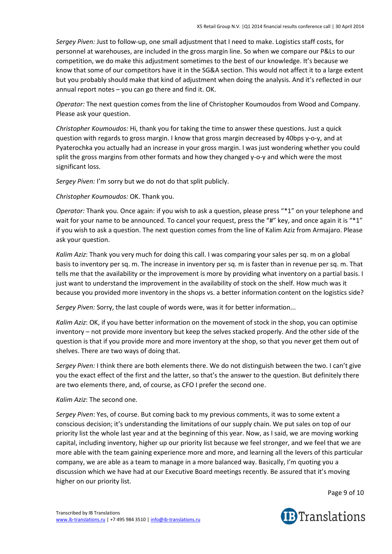*Sergey Piven:* Just to follow-up, one small adjustment that I need to make. Logistics staff costs, for personnel at warehouses, are included in the gross margin line. So when we compare our P&Ls to our competition, we do make this adjustment sometimes to the best of our knowledge. It's because we know that some of our competitors have it in the SG&A section. This would not affect it to a large extent but you probably should make that kind of adjustment when doing the analysis. And it's reflected in our annual report notes – you can go there and find it. OK.

*Operator:* The next question comes from the line of Christopher Koumoudos from Wood and Company. Please ask your question.

*Christopher Koumoudos:* Hi, thank you for taking the time to answer these questions. Just a quick question with regards to gross margin. I know that gross margin decreased by 40bps y-o-y, and at Pyaterochka you actually had an increase in your gross margin. I was just wondering whether you could split the gross margins from other formats and how they changed y-o-y and which were the most significant loss.

*Sergey Piven:* I'm sorry but we do not do that split publicly.

*Christopher Koumoudos:* OK. Thank you.

*Operator:* Thank you. Once again: if you wish to ask a question, please press "\*1" on your telephone and wait for your name to be announced. To cancel your request, press the "#" key, and once again it is "\*1" if you wish to ask a question. The next question comes from the line of Kalim Aziz from Armajaro. Please ask your question.

*Kalim Aziz*: Thank you very much for doing this call. I was comparing your sales per sq. m on a global basis to inventory per sq. m. The increase in inventory per sq. m is faster than in revenue per sq. m. That tells me that the availability or the improvement is more by providing what inventory on a partial basis. I just want to understand the improvement in the availability of stock on the shelf. How much was it because you provided more inventory in the shops vs. a better information content on the logistics side?

*Sergey Piven:* Sorry, the last couple of words were, was it for better information...

*Kalim Aziz*: OK, if you have better information on the movement of stock in the shop, you can optimise inventory – not provide more inventory but keep the selves stacked properly. And the other side of the question is that if you provide more and more inventory at the shop, so that you never get them out of shelves. There are two ways of doing that.

*Sergey Piven:* I think there are both elements there. We do not distinguish between the two. I can't give you the exact effect of the first and the latter, so that's the answer to the question. But definitely there are two elements there, and, of course, as CFO I prefer the second one.

# *Kalim Aziz*: The second one.

*Sergey Piven*: Yes, of course. But coming back to my previous comments, it was to some extent a conscious decision; it's understanding the limitations of our supply chain. We put sales on top of our priority list the whole last year and at the beginning of this year. Now, as I said, we are moving working capital, including inventory, higher up our priority list because we feel stronger, and we feel that we are more able with the team gaining experience more and more, and learning all the levers of this particular company, we are able as a team to manage in a more balanced way. Basically, I'm quoting you a discussion which we have had at our Executive Board meetings recently. Be assured that it's moving higher on our priority list.

Page 9 of 10